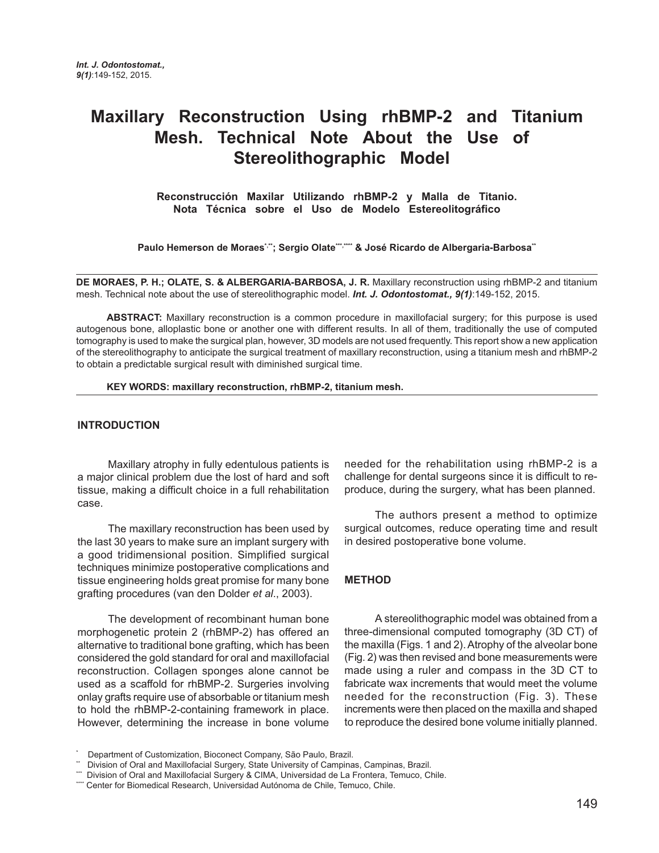# **Maxillary Reconstruction Using rhBMP-2 and Titanium Mesh. Technical Note About the Use of Stereolithographic Model**

**Reconstrucción Maxilar Utilizando rhBMP-2 y Malla de Titanio. Nota Técnica sobre el Uso de Modelo Estereolitográfico**

Paulo Hemerson de Moraes\*"; Sergio Olate<sup>\*\*\*</sup>,\*\*\*\*\* & José Ricardo de Albergaria-Barbosa\*\*

**DE MORAES, P. H.; OLATE, S. & ALBERGARIA-BARBOSA, J. R.** Maxillary reconstruction using rhBMP-2 and titanium mesh. Technical note about the use of stereolithographic model. *Int. J. Odontostomat., 9(1)*:149-152, 2015.

**ABSTRACT:** Maxillary reconstruction is a common procedure in maxillofacial surgery; for this purpose is used autogenous bone, alloplastic bone or another one with different results. In all of them, traditionally the use of computed tomography is used to make the surgical plan, however, 3D models are not used frequently. This report show a new application of the stereolithography to anticipate the surgical treatment of maxillary reconstruction, using a titanium mesh and rhBMP-2 to obtain a predictable surgical result with diminished surgical time.

**KEY WORDS: maxillary reconstruction, rhBMP-2, titanium mesh.**

## **INTRODUCTION**

Maxillary atrophy in fully edentulous patients is a major clinical problem due the lost of hard and soft tissue, making a difficult choice in a full rehabilitation case.

The maxillary reconstruction has been used by the last 30 years to make sure an implant surgery with a good tridimensional position. Simplified surgical techniques minimize postoperative complications and tissue engineering holds great promise for many bone grafting procedures (van den Dolder *et al*., 2003).

The development of recombinant human bone morphogenetic protein 2 (rhBMP-2) has offered an alternative to traditional bone grafting, which has been considered the gold standard for oral and maxillofacial reconstruction. Collagen sponges alone cannot be used as a scaffold for rhBMP-2. Surgeries involving onlay grafts require use of absorbable or titanium mesh to hold the rhBMP-2-containing framework in place. However, determining the increase in bone volume

needed for the rehabilitation using rhBMP-2 is a challenge for dental surgeons since it is difficult to reproduce, during the surgery, what has been planned.

The authors present a method to optimize surgical outcomes, reduce operating time and result in desired postoperative bone volume.

#### **METHOD**

A stereolithographic model was obtained from a three-dimensional computed tomography (3D CT) of the maxilla (Figs. 1 and 2). Atrophy of the alveolar bone (Fig. 2) was then revised and bone measurements were made using a ruler and compass in the 3D CT to fabricate wax increments that would meet the volume needed for the reconstruction (Fig. 3). These increments were then placed on the maxilla and shaped to reproduce the desired bone volume initially planned.

<sup>\*</sup> Department of Customization, Bioconect Company, São Paulo, Brazil.

Division of Oral and Maxillofacial Surgery, State University of Campinas, Campinas, Brazil.

<sup>\*\*</sup> Division of Oral and Maxillofacial Surgery & CIMA, Universidad de La Frontera, Temuco, Chile.

<sup>\*\*\*\*</sup> Center for Biomedical Research, Universidad Autónoma de Chile, Temuco, Chile.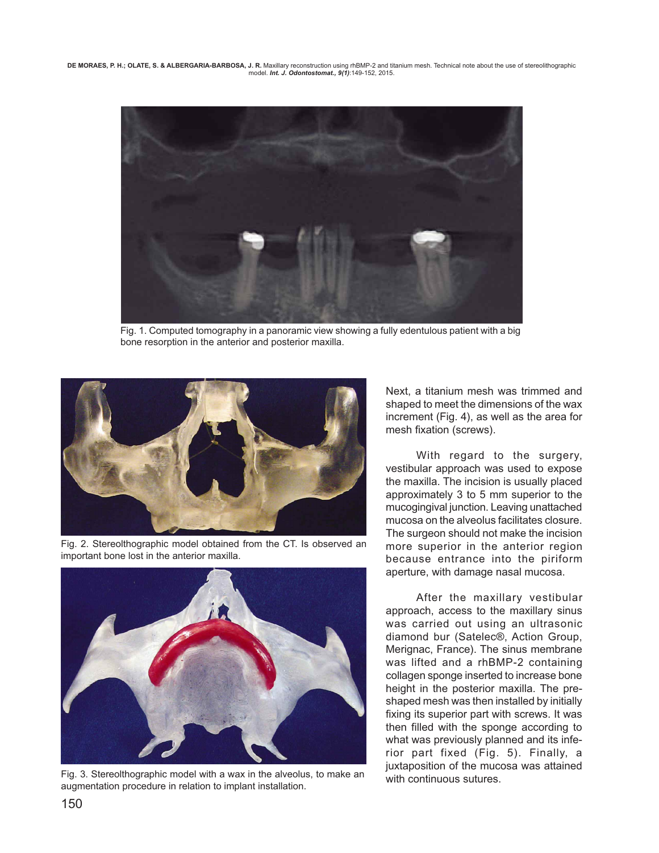**DE MORAES, P. H.; OLATE, S. & ALBERGARIA-BARBOSA, J. R.** Maxillary reconstruction using rhBMP-2 and titanium mesh. Technical note about the use of stereolithographic model. *Int. J. Odontostomat., 9(1)*:149-152, 2015.



Fig. 1. Computed tomography in a panoramic view showing a fully edentulous patient with a big bone resorption in the anterior and posterior maxilla.



Fig. 2. Stereolthographic model obtained from the CT. Is observed an important bone lost in the anterior maxilla.



Fig. 3. Stereolthographic model with a wax in the alveolus, to make an with continuous sutures. augmentation procedure in relation to implant installation.

Next, a titanium mesh was trimmed and shaped to meet the dimensions of the wax increment (Fig. 4), as well as the area for mesh fixation (screws).

With regard to the surgery, vestibular approach was used to expose the maxilla. The incision is usually placed approximately 3 to 5 mm superior to the mucogingival junction. Leaving unattached mucosa on the alveolus facilitates closure. The surgeon should not make the incision more superior in the anterior region because entrance into the piriform aperture, with damage nasal mucosa.

After the maxillary vestibular approach, access to the maxillary sinus was carried out using an ultrasonic diamond bur (Satelec®, Action Group, Merignac, France). The sinus membrane was lifted and a rhBMP-2 containing collagen sponge inserted to increase bone height in the posterior maxilla. The preshaped mesh was then installed by initially fixing its superior part with screws. It was then filled with the sponge according to what was previously planned and its inferior part fixed (Fig. 5). Finally, a juxtaposition of the mucosa was attained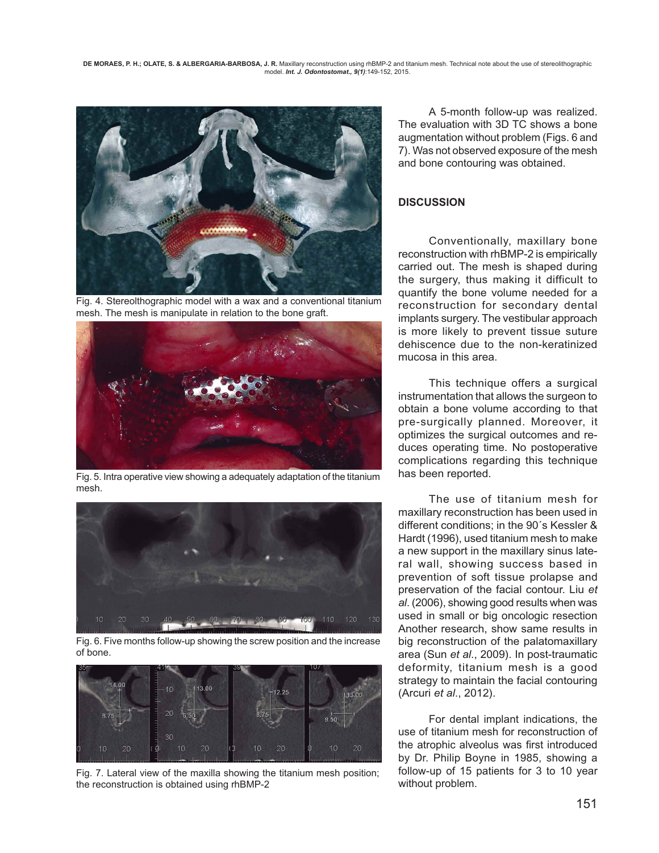**DE MORAES, P. H.; OLATE, S. & ALBERGARIA-BARBOSA, J. R.** Maxillary reconstruction using rhBMP-2 and titanium mesh. Technical note about the use of stereolithographic model. *Int. J. Odontostomat., 9(1)*:149-152, 2015.



Fig. 4. Stereolthographic model with a wax and a conventional titanium mesh. The mesh is manipulate in relation to the bone graft.



Fig. 5. Intra operative view showing a adequately adaptation of the titanium mesh.



Fig. 6. Five months follow-up showing the screw position and the increase of bone.



Fig. 7. Lateral view of the maxilla showing the titanium mesh position; the reconstruction is obtained using rhBMP-2

 A 5-month follow-up was realized. The evaluation with 3D TC shows a bone augmentation without problem (Figs. 6 and 7). Was not observed exposure of the mesh and bone contouring was obtained.

# **DISCUSSION**

Conventionally, maxillary bone reconstruction with rhBMP-2 is empirically carried out. The mesh is shaped during the surgery, thus making it difficult to quantify the bone volume needed for a reconstruction for secondary dental implants surgery. The vestibular approach is more likely to prevent tissue suture dehiscence due to the non-keratinized mucosa in this area.

This technique offers a surgical instrumentation that allows the surgeon to obtain a bone volume according to that pre-surgically planned. Moreover, it optimizes the surgical outcomes and reduces operating time. No postoperative complications regarding this technique has been reported.

The use of titanium mesh for maxillary reconstruction has been used in different conditions; in the 90´s Kessler & Hardt (1996), used titanium mesh to make a new support in the maxillary sinus lateral wall, showing success based in prevention of soft tissue prolapse and preservation of the facial contour. Liu *et al*. (2006), showing good results when was used in small or big oncologic resection Another research, show same results in big reconstruction of the palatomaxillary area (Sun *et al*., 2009). In post-traumatic deformity, titanium mesh is a good strategy to maintain the facial contouring (Arcuri *et al*., 2012).

For dental implant indications, the use of titanium mesh for reconstruction of the atrophic alveolus was first introduced by Dr. Philip Boyne in 1985, showing a follow-up of 15 patients for 3 to 10 year without problem.